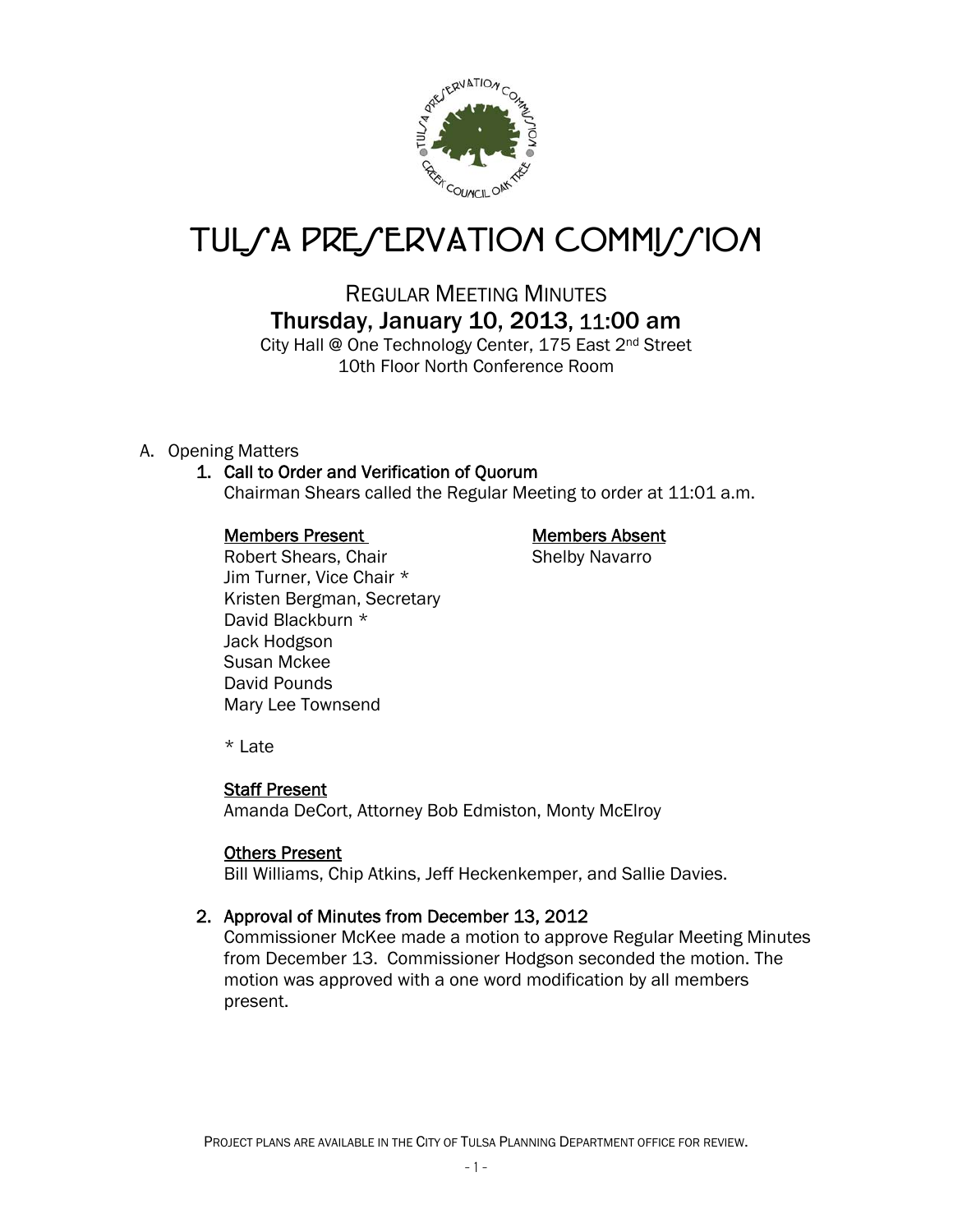

# TUL*SA PRESERVATION COMMISSION*

REGULAR MEETING MINUTES Thursday, January 10, 2013, 11:00 am

City Hall @ One Technology Center, 175 East 2<sup>nd</sup> Street 10th Floor North Conference Room

A. Opening Matters

## 1. Call to Order and Verification of Quorum

Chairman Shears called the Regular Meeting to order at 11:01 a.m.

### Members Present Members Absent

Robert Shears, Chair Shelby Navarro Jim Turner, Vice Chair \* Kristen Bergman, Secretary David Blackburn \* Jack Hodgson Susan Mckee David Pounds Mary Lee Townsend

\* Late

## Staff Present

Amanda DeCort, Attorney Bob Edmiston, Monty McElroy

#### Others Present

Bill Williams, Chip Atkins, Jeff Heckenkemper, and Sallie Davies.

## 2. Approval of Minutes from December 13, 2012

Commissioner McKee made a motion to approve Regular Meeting Minutes from December 13. Commissioner Hodgson seconded the motion. The motion was approved with a one word modification by all members present.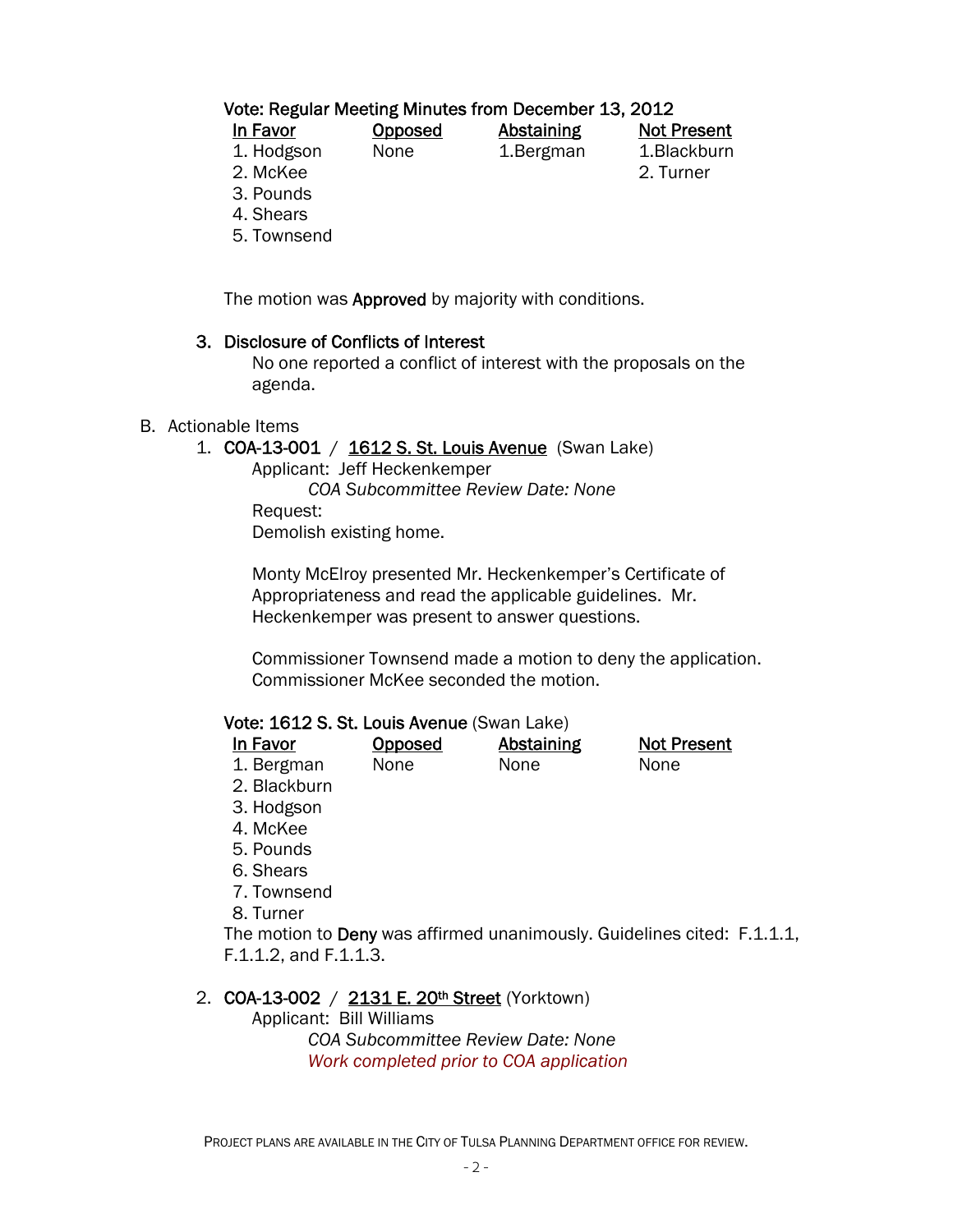## Vote: Regular Meeting Minutes from December 13, 2012

| In Favor   | <b>Opposed</b> | Abstaining | <b>Not Present</b> |
|------------|----------------|------------|--------------------|
| 1. Hodgson | None           | 1. Bergman | 1.Blackburn        |
| 2. McKee   |                |            | 2. Turner          |

3. Pounds

4. Shears

5. Townsend

The motion was Approved by majority with conditions.

#### 3. Disclosure of Conflicts of Interest

 No one reported a conflict of interest with the proposals on the agenda.

#### B. Actionable Items

1. COA-13-001 / 1612 S. St. Louis Avenue (Swan Lake)

 Applicant: Jeff Heckenkemper  *COA Subcommittee Review Date: None*  Request: Demolish existing home.

Monty McElroy presented Mr. Heckenkemper's Certificate of Appropriateness and read the applicable guidelines. Mr. Heckenkemper was present to answer questions.

Commissioner Townsend made a motion to deny the application. Commissioner McKee seconded the motion.

#### Vote: 1612 S. St. Louis Avenue (Swan Lake)

| In Favor   | <b>Opposed</b> | <b>Abstaining</b> | <b>Not Present</b> |
|------------|----------------|-------------------|--------------------|
| 1. Bergman | None           | None              | None               |

- 2. Blackburn
- 3. Hodgson
- 4. McKee
- 5. Pounds
- 6. Shears
- 7. Townsend
- 8. Turner

The motion to Deny was affirmed unanimously. Guidelines cited: F.1.1.1, F.1.1.2, and F.1.1.3.

#### 2. COA-13-002 / 2131 E. 20<sup>th</sup> Street (Yorktown)

Applicant: Bill Williams

 *COA Subcommittee Review Date: None Work completed prior to COA application*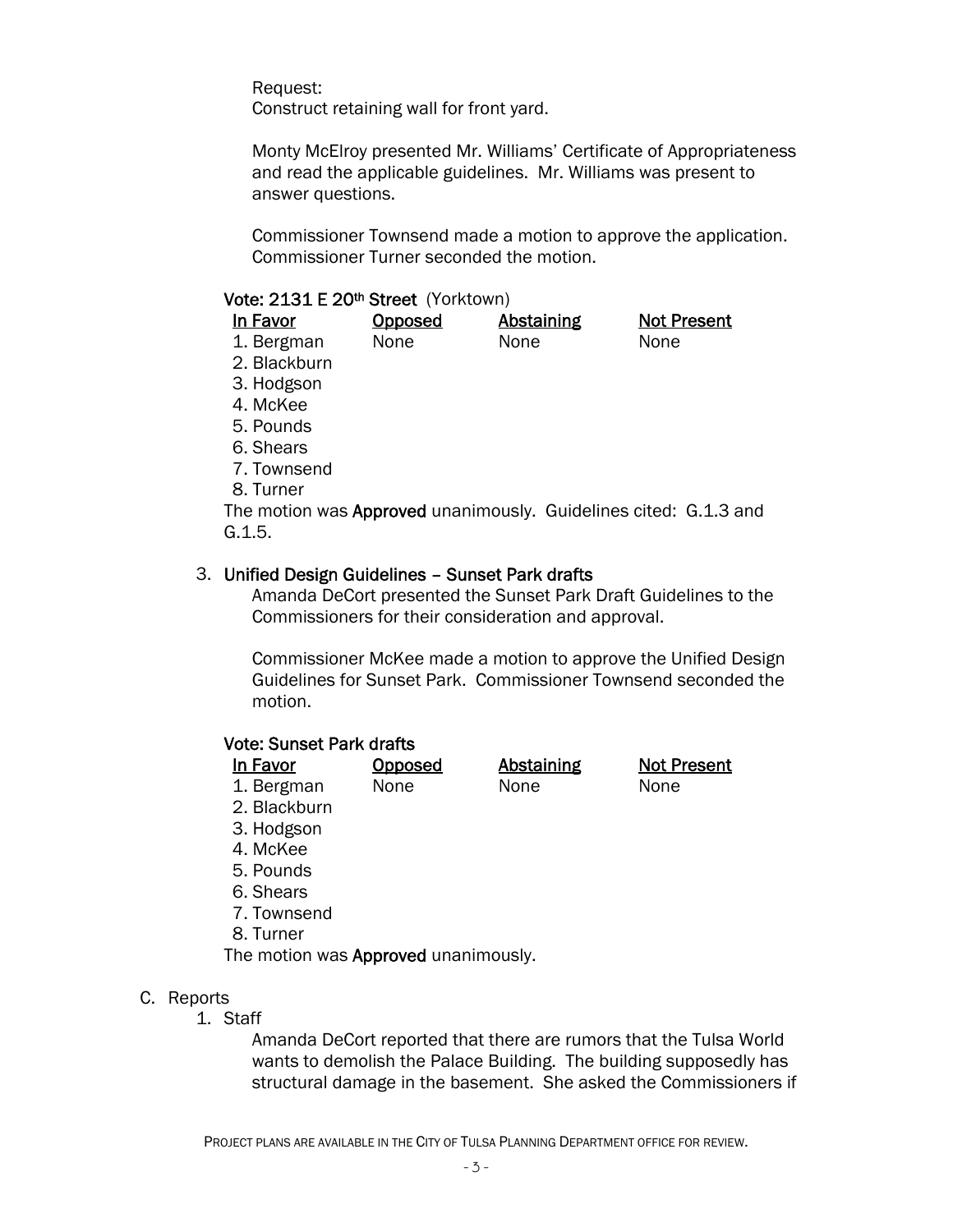Request:

Construct retaining wall for front yard.

Monty McElroy presented Mr. Williams' Certificate of Appropriateness and read the applicable guidelines. Mr. Williams was present to answer questions.

Commissioner Townsend made a motion to approve the application. Commissioner Turner seconded the motion.

#### Vote: 2131 E 20th Street (Yorktown)

| In Favor                                                                | Opposed | <b>Abstaining</b> | <b>Not Present</b> |
|-------------------------------------------------------------------------|---------|-------------------|--------------------|
| 1. Bergman                                                              | None    | None              | None               |
| 2. Blackburn                                                            |         |                   |                    |
| 3. Hodgson                                                              |         |                   |                    |
| 4. McKee                                                                |         |                   |                    |
| 5. Pounds                                                               |         |                   |                    |
| 6. Shears                                                               |         |                   |                    |
| 7. Townsend                                                             |         |                   |                    |
| 8. Turner                                                               |         |                   |                    |
| The motion was <b>Approved</b> unanimously. Guidelines cited: G.1.3 and |         |                   |                    |
| G.1.5.                                                                  |         |                   |                    |

#### 3. Unified Design Guidelines – Sunset Park drafts

Amanda DeCort presented the Sunset Park Draft Guidelines to the Commissioners for their consideration and approval.

Commissioner McKee made a motion to approve the Unified Design Guidelines for Sunset Park. Commissioner Townsend seconded the motion.

#### Vote: Sunset Park drafts

| <b>In Favor</b> | Opposed | <b>Abstaining</b> | <b>Not Present</b> |
|-----------------|---------|-------------------|--------------------|
| 1. Bergman      | None    | None              | None               |
| 2. Blackburn    |         |                   |                    |
| 3. Hodgson      |         |                   |                    |

- 3. Hodgson
- 4. McKee
- 5. Pounds
- 6. Shears
- 7. Townsend
- 8. Turner

The motion was **Approved** unanimously.

#### C. Reports

1. Staff

 Amanda DeCort reported that there are rumors that the Tulsa World wants to demolish the Palace Building. The building supposedly has structural damage in the basement. She asked the Commissioners if

PROJECT PLANS ARE AVAILABLE IN THE CITY OF TULSA PLANNING DEPARTMENT OFFICE FOR REVIEW.